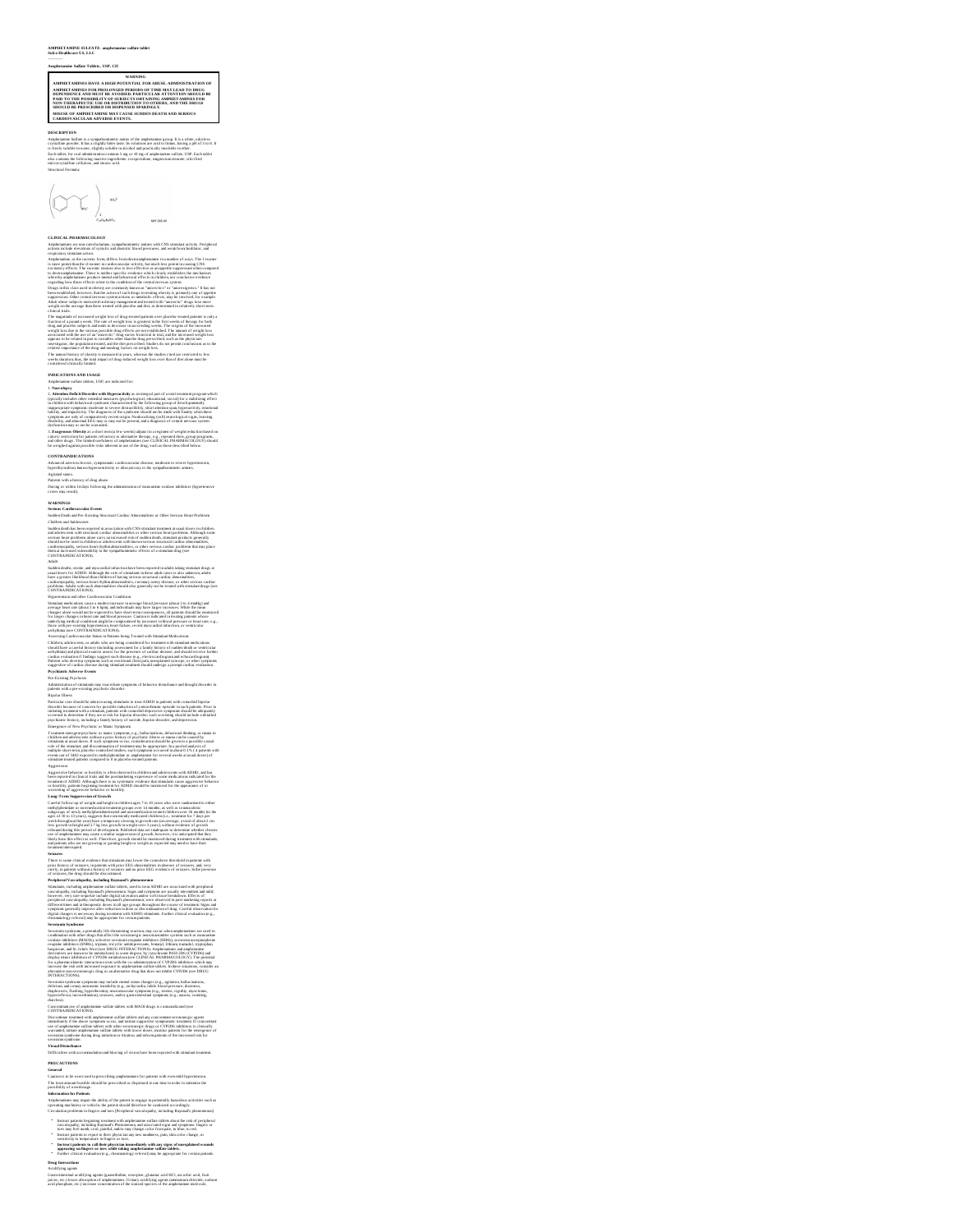## **AMPHETAMINE SULFATE- amphetamine sulfate tablet Solco Healthcare US, LLC**

### ----------

Ampletamine Sulfar Tables, USP, CAI<br>
AMERICA CONSULFACE AND MARINENT DESCRIPTION OF A AMERIC TRAFFICULATION OF A AMERIC TRAFFICULATION OF A AMERICA TRAFFICULATION OF A AMERICA AND THE CONSULTANT OF A MANUSCRIPTION OF THE

DESCRIPTION<br>Ampleturine Solidae is a sympathernizedic amino of the amplestamine group, h is a white, edeoless<br>typicalize product. In an a shiplify helme tasse, his scholmes are scaled bilimes, having a pH of 5 to 8. It<br>is

Structural Formula:



**CLINICAL PHARMACOLOGY** Amphetamines are non-catecholamine, sympathomimetic amines with CNS stimulant activity. Peripheral

action the<br>cluster and symbol and spatially and detective process are also the symbol and the<br>symbol and symbol and symbol and symbol and symbol and symbol and symbol and<br>symbol and symbol and symbol and symbol and symbol

# **INDICATIONS AND USAGE**

Ampheine such that solicity is the such as the state of the state of the state of the state of the state of the state of the state of the state of the state of the state of the state of the state of the state of the state

and other drugs. The limited usefulness of amphetamines (see CLINICAL PHARMACOLOGY) should be weighed against possible risks inherent in use of the drug, such as those described below.

**CONTRAINDICATIONS**<br>Advanced arteriosclerosis, symptomatic cardiovascular disease, moderate to severe hypertension,<br>hyperthyroidism, known hypersensitivity or idiosyncrasy to the sympathomimetic amines.

Agitated states.<br>Durients with a history of drug abuse.<br>During or within 14 days following the administration of monoamine oxidase inhibitors (hypertensive<br>crises may result).

**WARNINGS<br>Serious Cardiovas cular Events<br>Sudden Death and Pre-Existing Structural Cardiac Abnormalities or Other Serious Heart Problems** 

Children oud-Adolescence<br>Stadden oud-Adolescence<br>Adolescence with an interaction of the state of the Stadium of the state and the state of the state of the sta<br>and adolescence with the state of the state adolescence of the

Adaba dealls, sucule, and myse artical inferentian have been reported in subsite sating estimator drops at the<br>Sixodic showled in the same of the same of the same of the same of the same of the same of the same of the same

Similar and state a construction is a probably increase in a correspond to the construction of the constraints of the constraints of the constraints of the constraints of the constraints of the constraints of the constrai

Admitted unter a fundamental projector. An<br>extendidation of the specific distribution of the specific distribution<br>for the specific distribution of the specific distribution in the ADMI in particular case of the<br>specific

Aggrenous basebness of the<br>plane in the main control of the control of the control of the control of<br>the control of the control of the control of the control of the control of<br>the control of the control of the control of

girth the first of the space of the proof in the first first denoted by the phone of stationary and we can be a<br>space of the space of the space of the space of the space of the space of<br> $\sim$  10 mechanisms of the space of

Secretizative photon a properties of the discussions process of the analysis of the state of the state of the state of the state of the state of the state of the state of the state of the state of the state of the state o

Section is contained by the parameter and the formula sizes of the parameters and the constraints of the contained in the constraints of the constraints of the constraints of the constraints of the constraints of the cons

# **PRECAUTIONS General**

Caution is to be exercised in prescribing amphetamines for patients with even mild hypertension.<br>The least amount feasible should be prescribed or dispensed at one time in order to minimize the<br>possibility of overdosage.

## **Information for Patients**

Amphetamines may impair the ability of the patient to engage in potentially hazardous activities such as<br>operating machinery or wehicle; the patient should therefore be cautioned accordingly.<br>Circulation problems in finger

lances paísens boyanniq pousseurs vidi amphranticus sulface tables about de ricks (projekra) de variant pousseurs and access the construction of the state of the state of the state of the state of the state of the state o • • •

**Drug Interactions** Acidifying agents

Gastroimostinal acidifying agents (guanethidine, reserpine, glutanic acid HCl, ascorbic acid, fruit<br>juices, etc.) lower absorption of amphetamines. Urinary acidifying agents (ammorium chloride, sodium<br>acid obosobate. etc.)

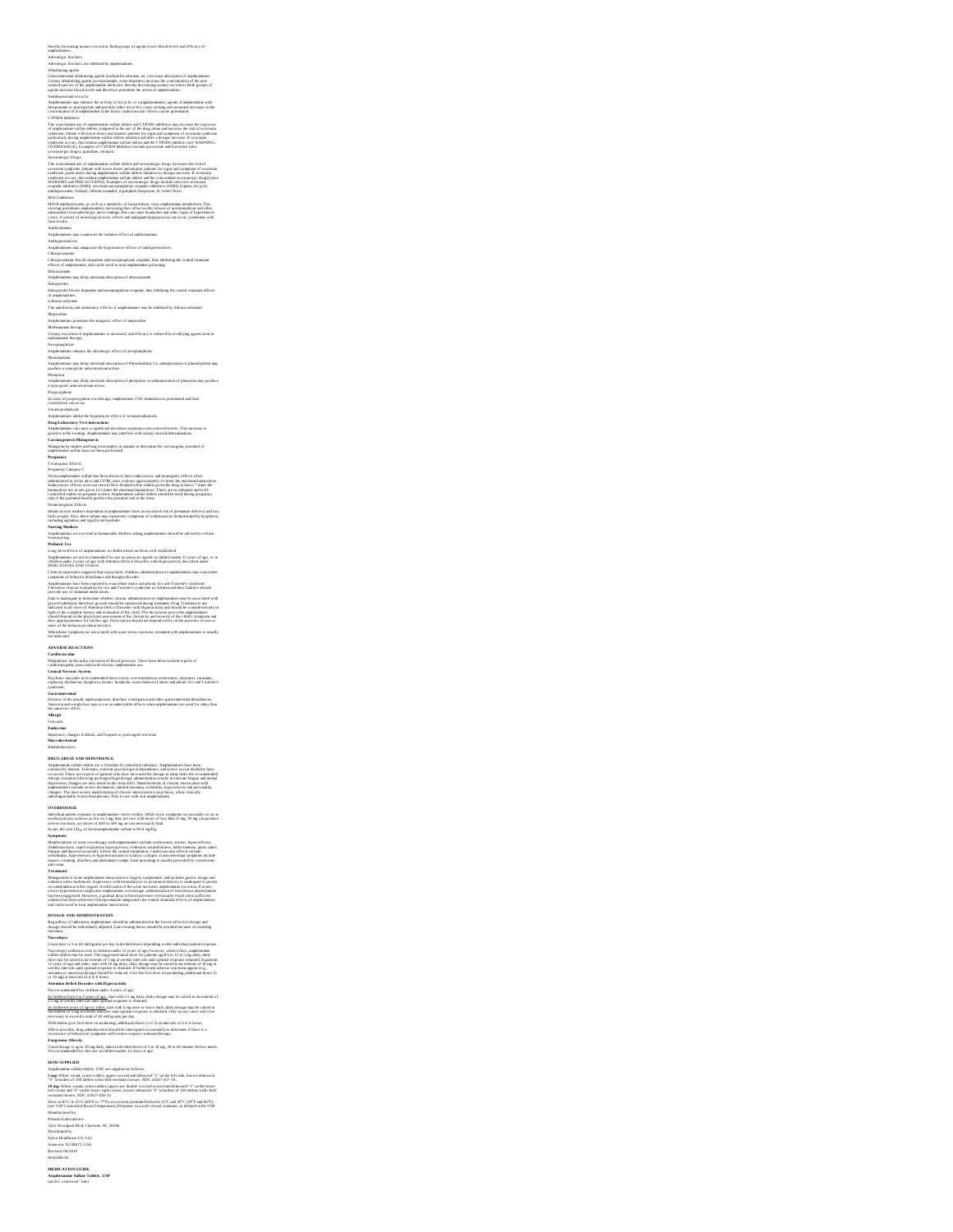thereby increasing urinary excretion. Both groups of agents lower blood-livels and efficacy of<br>anywhermine, increasing the state of the state of the state of the state of the state of the state of the state<br>Advantage space ionized species of the amphetamine molecule, thereby decreasing urinary excretion. Both groups of

Analytonics was probably the activity of the control of the state of the control of the control of the state of the control of the state of the control of the state of the state of the state of the state of the state of t

## Ethosuximide<br>Amphetamines may delay intestinal absorption of ethosuximide.

Haloperidol<br>Haloperidol blocks<br>of amphetamines.

(kingertab) Modes do gueste ao tavoyinepteire requite, that simblifes, the created sensitive affects<br>Lisburn colonne<br>Lisburn colonne<br>Angletishery and simulatory effects of amphetenium may be inhibited by lithium carbonne.<br>

Amphatantines may delay into stimal absorption of phenytoin; co-administration of phenytoin may produce<br>Proposyphetic anticonvolvant action.<br>Burcases of proposypheme overdosage, amphetenrine CNS stimulation is praemiated a

Anglesantine inlikte the pyononics of forced versummatikation.<br>Comparison in the comparison of the subsequent of the comparison of the stress of the stress of the stress of<br>Carolington in Advisor of the stress of the stres

Destroyenhemies staffet as between the transformation and continued and the matter and the staffet as the staffet as the staffet as the staffet as a staffet as the staffet as the staffet as the staffet as the staffet as th

Numique Maderns<br>Poulonique Maderns<br>Poulonique aux excevast la harman stilt, Mothers taking amphetanties schoold be arbited to refrain<br>Long-terrarchects of amphetanties in children hore archees will established.<br>Long-terrar

Clintof a representation to approximate the control of the control of any control of the state of the control of the control of the control of the control of the control of the control of the control of the control of the

note ...<br>When these symp<br>not indicated.

**ADVERSE REACTIONS**<br>Pa**lphunions, achycardia, obevation of blood pressure. There**<br>Pa**lphunions, achycardiated with chronic amphetamine use.** 

Applications, subjected in choosing of the<br>of properties, subjected in choosing of the control of the law law in<br>Cartand Marward Systems and Columb complexations .<br>Cartand Marward Systems are controlled to the controlled c

DRUG ABUSE AND DEPENDIENCE THE SIMULATION (Applications Associated the bosts of the simulation of the simulation of the Simulation of the simulation of the simulation of the simulation of the simulation of the simulation

## 50 of d

OVERDOSAKE.<br>
OVERDOSAKE suomen tai antikoinen varianteloin valtalainen tai antikoinen tai valtalainen tai esimerkiksi<br>
suomen tai antikoinen tai antikoinen tai antikoinen tai valtalainen tai valtalainen tai valtalainen pa

Regardless of indication, amphetamine should be administered at the lowest effective dosage and<br>dosage should be individually adjusted. Late evening doses should be avoided because of resulting<br>insomnia.

about go should be the chiral angle affects. Law evening these should be aveuled because of resulting<br>Marcolayers and the chiral state of the inclusion of the chiral state of the chiral state of the chiral state<br>Marcolaye

lachildende Souara di age ar aidear sou treis Supp once or twice duity duity obsage muy be raised in<br>interements of 5 mg at weeds) intervals until optimal response is obtained. Only in rare cases will it has<br>necessary to e

# **Exogenous Obesity**<br>Usual dosage is up to 30 mg daily, taken in divided doses of 5 to 10 mg, 30 to 60 minutes before meals.<br>Not recommended for this use in children under 12 years of age.

HOW SUPPLIED<br>Amphemeire and in the basic (1597, are supplied as follows:<br> $5$  mg/While, result, convex sublets, uppers corred and debound "5" on the 1st side, lowers debossed<br>"5" in basics of 100 ulders with child-resistant

Store at 20°C to 25°C (68°F to 77°F); excursions permitted between 15°C and 30°C (59°F and 86°F).<br>[see USP Controlled Room Temperature.] Dispense in a well-closed container, as defined in the USP.

Manufactured by:<br>Prinston Laboratories<br>3241 Woodpark Blvd, Charlotte, NC 28206<br>Distributed by:<br>Solco Healthcare US, LLC<br>Somerset, NJ 08873, USA<br>Revised: 08/2019<br>9040380-01

**MEDICATION GUIDE Amphetamine Sulfate Tablets, USP** (am fet' a meen sul' fate)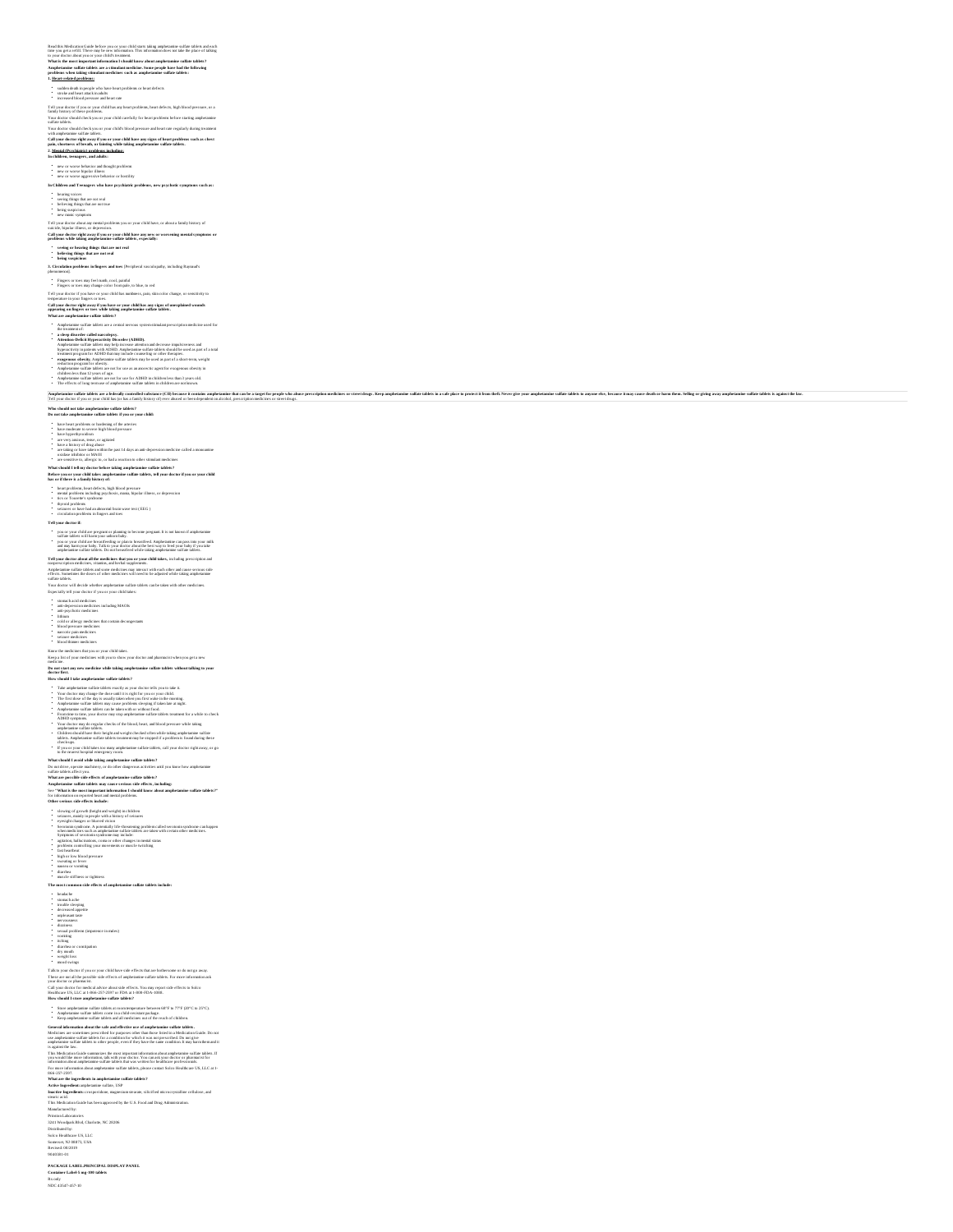Read dris Medication Guide before you or your child stares taking amphriamine valids and able to an each the st<br>time you get a refill. There may be use it identuation. This information does not take the place of talking<br>to

**1. Heart-related problems:**

" sudden doods in persop ke vla have harter problems or heart defects<br>" streeted militare attack in adults<br>" streeted blood pressure med have a marker and the street problems, heart defects, high blood pressure, or a<br>Early sudden death in people who have heart problems or heart defects stroke and heart attack in adults increased blood pressure and heart rate

## Your doctor should check you or your child's blood pressure and heart rate regularly during treatment with amphetamine sulfate tablets.

Call your dector right away if you or your child have any signs of heart problems such as chest<br>pain, shortness of breath, or Isiming while taking amphetamine sulfate tablets.<br>2. <u>Mental (Psychiatric) problems including:</u><br>

## new or worse behavior and thought problems<br>new or worse bipolar illness<br>new or worse aggressive behavior or hostility

• and or storse behavior and thought problems<br>• and or storse bipolar illusts<br>• and or storse aggressive behavior or bossiliny<br>**In Children and Teenagers who have psychiatric problems, new psychotic symptoms such as:** 

• • • • • hearing voices seeing things that are not real believing things that are not true being suspicious new manic symptoms

Tell your doctor about any mental problems you or your child have, or about a family history of<br>Call your dector right away if you or your child have any surv or worsening mental symptoms or<br>problems while taking amplietam

**s eeing or hearing things that are not real believing things that are not real being suspicious**

• **3. seeing or hearing thinge that are not real<br>• being suspicious<br>• being suspicious<br>3. Circulation preblems in fingers and toes [Peripheral vasculopathy, including Raynaud's<br>observemenon].** 

• • Fingers or toes may feel numb, cool, painful Fingers or toes may change color from pale, to blue, to red

te the your doctor if you have or your child has numbress, pain, skin color change, or sensitivity to temperature in your fingers or toes.

Tel juga descrit (von have ur guar child has matheres, pain, skin color change, er semärivity to<br>stationer in the comparation of the stationary of the stationary of the stationary of the<br>stationary of the stationary of the

Armiteaning and this tasket are a constraint waven types<br>and the state of the state of the state of the state of the state of<br>the state of the state of the state of the state of the state of<br>the state of the state of the

• • • •

implement and the statement control and a state (Chromatic states and the state of the state of the state of the state of the state of the state of the state of the state of the state of the state of the state of the state

Who should not take amphetamine sulfate tablets?<br>Do not take amphetamine sulfate tablets if you or your child:

 $^{\circ}$  has how produces an interded of the arrive<br>(  $\sim$  hydrodynamics) and the spectral state of the state<br>of the state of the state of the state of the state of the state<br>of the state of the state of the state of the st have heart problem or hardwing of the artreties<br>have maderase to severe high blood pressure<br>have maderase to severe high blood pressure<br>have a history of drog about<br>have a history of drog about<br>the value of the severe last

• • • • • • heart problems, heart defects, high blood pressure<br>mental problems including psychosis, musia, bipolar illness, or depression<br>tics or Tourents's syndrome<br>styroid problems<br>styroid problems<br>circulation problems in fingers an

**Tell your dector if:**<br>• you or your child if<br>• sulfate tablets will<br>• won or your child if you or your child are pregnant or planning to become pregnant. It is not known if amphetamine<br>suifant tablets will harm your unbors holy.<br>you or your child are breastfeeding or plan to breastfreed. Amphetamine can pass int

Tell your dector about all the metalcines that you or your child takes, including prescription and<br>nonprescription multicines, visurins, and herbal supplements.<br>Amphetarrine sulfate tablets and some multicines may interact

Your doctor will decide whether amphetation sulfate the<br>filter can be taken with other medicines.<br>
• summark act of your syne with other<br>
• summark act outdoor in the simple states:<br>
• subgrading the state of the contribut

stomarch acids medicines<br>simenth acids medicines including MAOIs<br>anti-psychosic medicines<br>infinition<br>cold or allergy medicines<br>theodol pressure medicines<br>heard cold prime medicines<br>ancrotic pain medicines<br>seizure medicines

### **Do not start any new medicine while taking amphetamine sulfate tablets without talking to your**

Konv de medicines hat you or your child ukes.<br>medicine.<br>Disep a list of your medicines with you to show your doctor and pharmacist when you get a new<br>doctor first.<br>Dis not start any new medicine while taking amphetamine su

• • • • • • • • Take anythenism suidant the first of the proper detective proper distribution of the state of the state of the state of the state of the state of the state of the state of the state of the state of the state of the state

• H

What should lead with taking amplementation talks taken?<br>A contribute the system mechanics of the state diagram activities unit year law<br>or the system and the system of the system of the state of the system of<br>the system

showing of growth (best) and weight) in tablets<br>a sympathy of the state of the state of the state of the state of the<br>sympathy changes on the mediation of the fluoration gradient of<br>the state of the state of the state of

• **• problem controllations**, common controllations<br>• **Problem controllation**<br>• **Suis better common controllations**<br>• **Suisa de la britanisme**<br>• **Suisa de pressure<br>• <b>Controllations**<br>• **Controllations**<br>• **Controllations** 

Taking the detection properties that the control of the state of the state of the state of the state of the state of the state of the state of the state of the state of the state of the state of the state of the state of

Store amphetamine sulfate tablets at room tomperature between 68°F to 77°F (20°C to 25°C).<br>Amphetamine sulfate tablets come in a child-resistant package.<br>Keep amphetamine sulfate tablets and all medicines out of the reach

This Molecular<br>Constraints descriptions are maintained as most increase that methods absorption and the state<br>of monotonic absorptions with a state of the state of the state of the<br>state of the state of the state of the s

**PACKAGE LABEL.PRINCIPAL DISPLAY PANEL Container Label-5 mg-100 tablets**

Rx only NDC 43547-457-10

• • • • • • • • • • • • • • headache<br>headache<br>stomach achee<br>decreased appetite<br>decreased appetite<br>methods stores diarrheased<br>problems (impotence in males)<br>vomiting<br>weight loss coronstipation<br>weight loss mood swings<br>mood swings<br>mood swings<br>mood swings